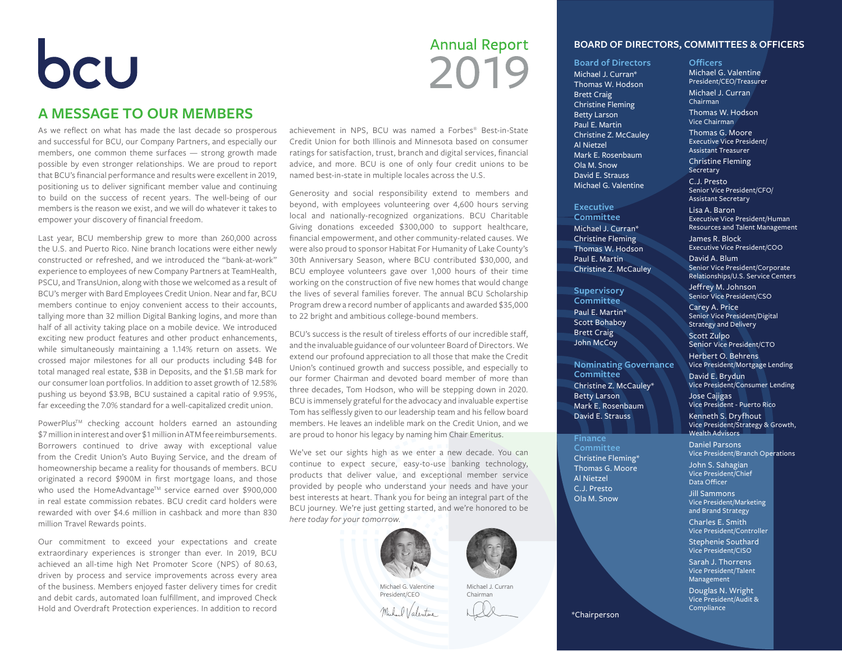## bcu

#### **A MESSAGE TO OUR MEMBERS**

As we reflect on what has made the last decade so prosperous and successful for BCU, our Company Partners, and especially our members, one common theme surfaces — strong growth made possible by even stronger relationships. We are proud to report that BCU's financial performance and results were excellent in 2019, positioning us to deliver significant member value and continuing to build on the success of recent years. The well-being of our members is the reason we exist, and we will do whatever it takes to empower your discovery of financial freedom.

Last year, BCU membership grew to more than 260,000 across the U.S. and Puerto Rico. Nine branch locations were either newly constructed or refreshed, and we introduced the "bank-at-work" experience to employees of new Company Partners at TeamHealth, PSCU, and TransUnion, along with those we welcomed as a result of BCU's merger with Bard Employees Credit Union. Near and far, BCU members continue to enjoy convenient access to their accounts, tallying more than 32 million Digital Banking logins, and more than half of all activity taking place on a mobile device. We introduced exciting new product features and other product enhancements, while simultaneously maintaining a 1.14% return on assets. We crossed major milestones for all our products including \$4B for total managed real estate, \$3B in Deposits, and the \$1.5B mark for our consumer loan portfolios. In addition to asset growth of 12.58% pushing us beyond \$3.9B, BCU sustained a capital ratio of 9.95%, far exceeding the 7.0% standard for a well-capitalized credit union.

PowerPlus™ checking account holders earned an astounding \$7 million in interest and over \$1 million in ATM fee reimbursements. Borrowers continued to drive away with exceptional value from the Credit Union's Auto Buying Service, and the dream of homeownership became a reality for thousands of members. BCU originated a record \$900M in first mortgage loans, and those who used the HomeAdvantage™ service earned over \$900,000 in real estate commission rebates. BCU credit card holders were rewarded with over \$4.6 million in cashback and more than 830 million Travel Rewards points.

Our commitment to exceed your expectations and create extraordinary experiences is stronger than ever. In 2019, BCU achieved an all-time high Net Promoter Score (NPS) of 80.63, driven by process and service improvements across every area of the business. Members enjoyed faster delivery times for credit and debit cards, automated loan fulfillment, and improved Check Hold and Overdraft Protection experiences. In addition to record

### **Annual Report** 2019

achievement in NPS, BCU was named a Forbes® Best-in-State Credit Union for both Illinois and Minnesota based on consumer ratings for satisfaction, trust, branch and digital services, financial advice, and more. BCU is one of only four credit unions to be named best-in-state in multiple locales across the U.S.

Generosity and social responsibility extend to members and beyond, with employees volunteering over 4,600 hours serving local and nationally-recognized organizations. BCU Charitable Giving donations exceeded \$300,000 to support healthcare, financial empowerment, and other community-related causes. We were also proud to sponsor Habitat For Humanity of Lake County's 30th Anniversary Season, where BCU contributed \$30,000, and BCU employee volunteers gave over 1,000 hours of their time working on the construction of five new homes that would change the lives of several families forever. The annual BCU Scholarship Program drew a record number of applicants and awarded \$35,000 to 22 bright and ambitious college-bound members.

BCU's success is the result of tireless efforts of our incredible staff, and the invaluable guidance of our volunteer Board of Directors. We extend our profound appreciation to all those that make the Credit Union's continued growth and success possible, and especially to our former Chairman and devoted board member of more than three decades, Tom Hodson, who will be stepping down in 2020. BCU is immensely grateful for the advocacy and invaluable expertise Tom has selflessly given to our leadership team and his fellow board members. He leaves an indelible mark on the Credit Union, and we are proud to honor his legacy by naming him Chair Emeritus.

We've set our sights high as we enter a new decade. You can continue to expect secure, easy-to-use banking technology, products that deliver value, and exceptional member service provided by people who understand your needs and have your best interests at heart. Thank you for being an integral part of the BCU journey. We're just getting started, and we're honored to be *here today for your tomorrow*.



Michael G. Valentine President/CEO I Valentine Michael J. Curran Chairman



#### **Board of Directors**

Michael J. Curran\* Thomas W. Hodson Brett Craig Christine Fleming Betty Larson Paul E. Martin Christine Z. McCauley Al Nietzel Mark E. Rosenbaum Ola M. Snow David E. Strauss Michael G. Valentine

#### **Executive**

**Committee** Michael J. Curran\* Christine Fleming Thomas W. Hodson Paul E. Martin Christine Z. McCauley

#### **Supervisory Committee** Paul E. Martin\* Scott Bohaboy Brett Craig John McCoy

**Nominating Governance Committee** Christine Z. McCauley\* Betty Larson Mark E. Rosenbaum David E. Strauss

**Finance Committee** Christine Fleming\* Thomas G. Moore Al Nietzel C.J. Presto Ola M. Snow

#### **Officers**

Michael G. Valentine President/CEO/Treasurer Michael J. Curran Chairman Thomas W. Hodson Vice Chairman Thomas G. Moore Executive Vice President/ Assistant Treasurer Christine Fleming **Secretary** C.J. Presto Senior Vice President/CFO/ Assistant Secretary Lisa A. Baron Executive Vice President/Human Resources and Talent Management James R. Block

Executive Vice President/COO

David A. Blum Senior Vice President/Corporate Relationships/U.S. Service Centers

Jeffrey M. Johnson Senior Vice President/CSO

Carey A. Price Senior Vice President/Digital Strategy and Delivery

Scott Zulpo Senior Vice President/CTO

Herbert O. Behrens Vice President/Mortgage Lending

David E. Brydun Vice President/Consumer Lending

Jose Cajigas Vice President - Puerto Rico

Kenneth S. Dryfhout Vice President/Strategy & Growth, Wealth Advisors Daniel Parsons

Vice President/Branch Operations

John S. Sahagian Vice President/Chief Data Officer Jill Sammons Vice President/Marketing and Brand Strategy Charles E. Smith Vice President/Controller Stephenie Southard Vice President/CISO

Sarah J. Thorrens Vice President/Talent Management

Douglas N. Wright Vice President/Audit & **Compliance** 

\*Chairperson